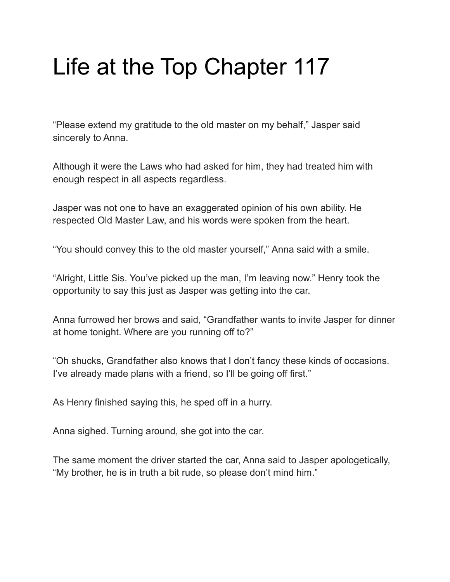## Life at the Top Chapter 117

"Please extend my gratitude to the old master on my behalf," Jasper said sincerely to Anna.

Although it were the Laws who had asked for him, they had treated him with enough respect in all aspects regardless.

Jasper was not one to have an exaggerated opinion of his own ability. He respected Old Master Law, and his words were spoken from the heart.

"You should convey this to the old master yourself," Anna said with a smile.

"Alright, Little Sis. You've picked up the man, I'm leaving now." Henry took the opportunity to say this just as Jasper was getting into the car.

Anna furrowed her brows and said, "Grandfather wants to invite Jasper for dinner at home tonight. Where are you running off to?"

"Oh shucks, Grandfather also knows that I don't fancy these kinds of occasions. I've already made plans with a friend, so I'll be going off first."

As Henry finished saying this, he sped off in a hurry.

Anna sighed. Turning around, she got into the car.

The same moment the driver started the car, Anna said to Jasper apologetically, "My brother, he is in truth a bit rude, so please don't mind him."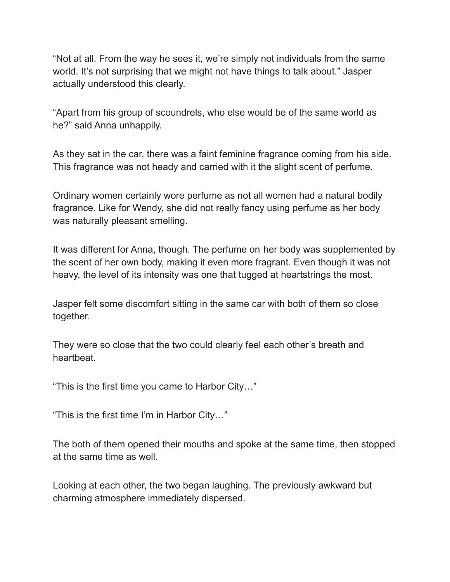"Not at all. From the way he sees it, we're simply not individuals from the same world. It's not surprising that we might not have things to talk about." Jasper actually understood this clearly.

"Apart from his group of scoundrels, who else would be of the same world as he?" said Anna unhappily.

As they sat in the car, there was a faint feminine fragrance coming from his side. This fragrance was not heady and carried with it the slight scent of perfume.

Ordinary women certainly wore perfume as not all women had a natural bodily fragrance. Like for Wendy, she did not really fancy using perfume as her body was naturally pleasant smelling.

It was different for Anna, though. The perfume on her body was supplemented by the scent of her own body, making it even more fragrant. Even though it was not heavy, the level of its intensity was one that tugged at heartstrings the most.

Jasper felt some discomfort sitting in the same car with both of them so close together.

They were so close that the two could clearly feel each other's breath and heartbeat.

"This is the first time you came to Harbor City…"

"This is the first time I'm in Harbor City…"

The both of them opened their mouths and spoke at the same time, then stopped at the same time as well.

Looking at each other, the two began laughing. The previously awkward but charming atmosphere immediately dispersed.